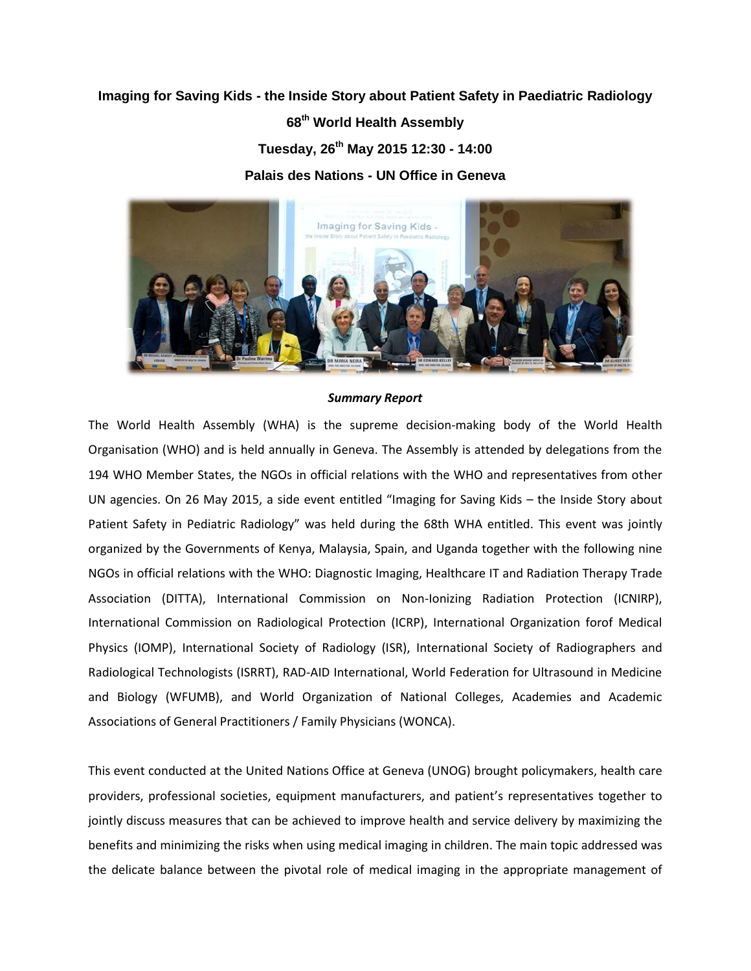## **Imaging for Saving Kids - the Inside Story about Patient Safety in Paediatric Radiology**

**68th World Health Assembly** 

**Tuesday, 26th May 2015 12:30 - 14:00**

**Palais des Nations - UN Office in Geneva**



## *Summary Report*

The World Health Assembly (WHA) is the supreme decision-making body of the World Health Organisation (WHO) and is held annually in Geneva. The Assembly is attended by delegations from the 194 WHO Member States, the NGOs in official relations with the WHO and representatives from other UN agencies. On 26 May 2015, a side event entitled "Imaging for Saving Kids – the Inside Story about Patient Safety in Pediatric Radiology" was held during the 68th WHA entitled. This event was jointly organized by the Governments of Kenya, Malaysia, Spain, and Uganda together with the following nine NGOs in official relations with the WHO: Diagnostic Imaging, Healthcare IT and Radiation Therapy Trade Association (DITTA), International Commission on Non-Ionizing Radiation Protection (ICNIRP), International Commission on Radiological Protection (ICRP), International Organization forof Medical Physics (IOMP), International Society of Radiology (ISR), International Society of Radiographers and Radiological Technologists (ISRRT), RAD-AID International, World Federation for Ultrasound in Medicine and Biology (WFUMB), and World Organization of National Colleges, Academies and Academic Associations of General Practitioners / Family Physicians (WONCA).

This event conducted at the United Nations Office at Geneva (UNOG) brought policymakers, health care providers, professional societies, equipment manufacturers, and patient's representatives together to jointly discuss measures that can be achieved to improve health and service delivery by maximizing the benefits and minimizing the risks when using medical imaging in children. The main topic addressed was the delicate balance between the pivotal role of medical imaging in the appropriate management of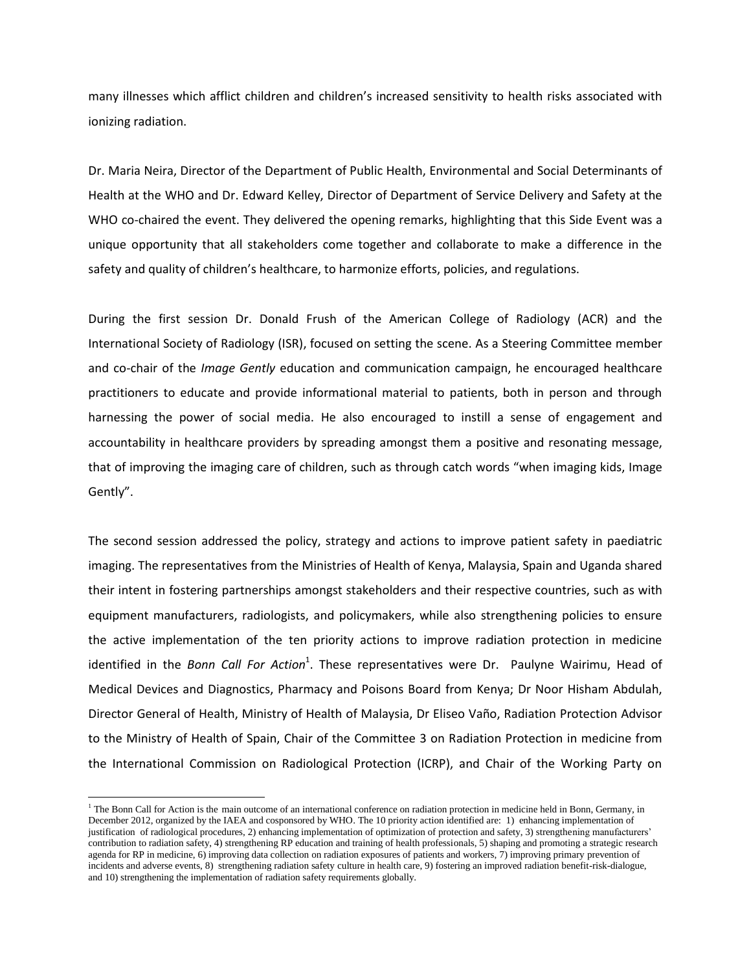many illnesses which afflict children and children's increased sensitivity to health risks associated with ionizing radiation.

Dr. Maria Neira, Director of the Department of Public Health, Environmental and Social Determinants of Health at the WHO and Dr. Edward Kelley, Director of Department of Service Delivery and Safety at the WHO co-chaired the event. They delivered the opening remarks, highlighting that this Side Event was a unique opportunity that all stakeholders come together and collaborate to make a difference in the safety and quality of children's healthcare, to harmonize efforts, policies, and regulations.

During the first session Dr. Donald Frush of the American College of Radiology (ACR) and the International Society of Radiology (ISR), focused on setting the scene. As a Steering Committee member and co-chair of the *Image Gently* education and communication campaign, he encouraged healthcare practitioners to educate and provide informational material to patients, both in person and through harnessing the power of social media. He also encouraged to instill a sense of engagement and accountability in healthcare providers by spreading amongst them a positive and resonating message, that of improving the imaging care of children, such as through catch words "when imaging kids, Image Gently".

The second session addressed the policy, strategy and actions to improve patient safety in paediatric imaging. The representatives from the Ministries of Health of Kenya, Malaysia, Spain and Uganda shared their intent in fostering partnerships amongst stakeholders and their respective countries, such as with equipment manufacturers, radiologists, and policymakers, while also strengthening policies to ensure the active implementation of the ten priority actions to improve radiation protection in medicine identified in the *Bonn Call For Action*<sup>1</sup>. These representatives were Dr. Paulyne Wairimu, Head of Medical Devices and Diagnostics, Pharmacy and Poisons Board from Kenya; Dr Noor Hisham Abdulah, Director General of Health, Ministry of Health of Malaysia, Dr Eliseo Vaño, Radiation Protection Advisor to the Ministry of Health of Spain, Chair of the Committee 3 on Radiation Protection in medicine from the International Commission on Radiological Protection (ICRP), and Chair of the Working Party on

 $\overline{\phantom{a}}$ 

 $<sup>1</sup>$  The Bonn Call for Action is the main outcome of an international conference on radiation protection in medicine held in Bonn, Germany, in</sup> December 2012, organized by the IAEA and cosponsored by WHO. The 10 priority action identified are: 1) enhancing implementation of justification of radiological procedures, 2) enhancing implementation of optimization of protection and safety, 3) strengthening manufacturers' contribution to radiation safety, 4) strengthening RP education and training of health professionals, 5) shaping and promoting a strategic research agenda for RP in medicine, 6) improving data collection on radiation exposures of patients and workers, 7) improving primary prevention of incidents and adverse events, 8) strengthening radiation safety culture in health care, 9) fostering an improved radiation benefit-risk-dialogue, and 10) strengthening the implementation of radiation safety requirements globally.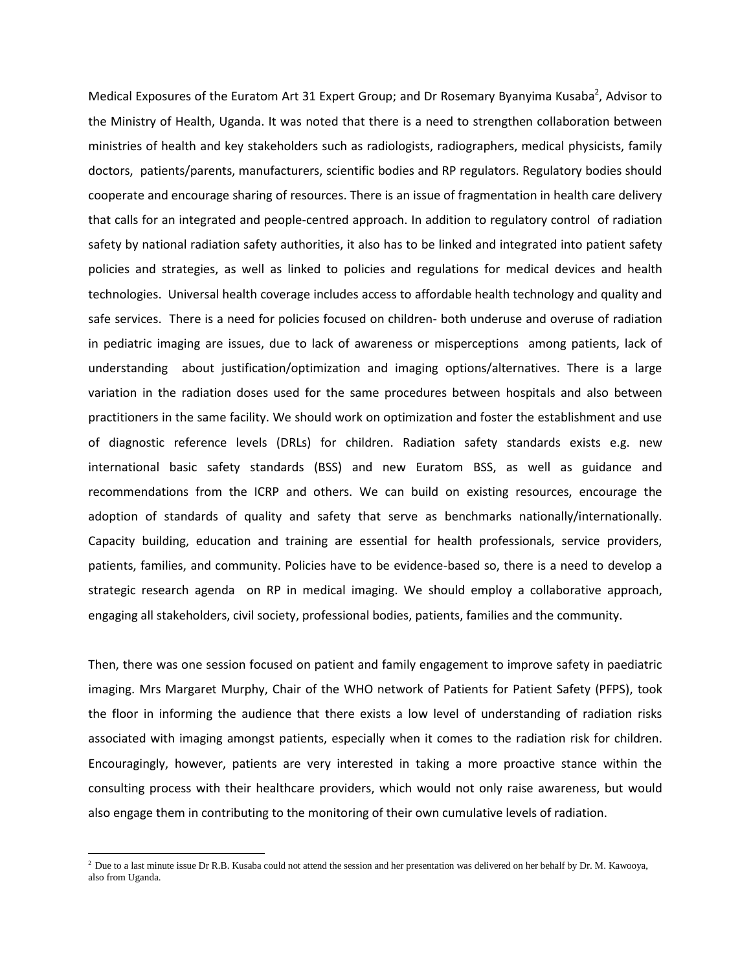Medical Exposures of the Euratom Art 31 Expert Group; and Dr Rosemary Byanyima Kusaba<sup>2</sup>, Advisor to the Ministry of Health, Uganda. It was noted that there is a need to strengthen collaboration between ministries of health and key stakeholders such as radiologists, radiographers, medical physicists, family doctors, patients/parents, manufacturers, scientific bodies and RP regulators. Regulatory bodies should cooperate and encourage sharing of resources. There is an issue of fragmentation in health care delivery that calls for an integrated and people-centred approach. In addition to regulatory control of radiation safety by national radiation safety authorities, it also has to be linked and integrated into patient safety policies and strategies, as well as linked to policies and regulations for medical devices and health technologies. Universal health coverage includes access to affordable health technology and quality and safe services. There is a need for policies focused on children- both underuse and overuse of radiation in pediatric imaging are issues, due to lack of awareness or misperceptions among patients, lack of understanding about justification/optimization and imaging options/alternatives. There is a large variation in the radiation doses used for the same procedures between hospitals and also between practitioners in the same facility. We should work on optimization and foster the establishment and use of diagnostic reference levels (DRLs) for children. Radiation safety standards exists e.g. new international basic safety standards (BSS) and new Euratom BSS, as well as guidance and recommendations from the ICRP and others. We can build on existing resources, encourage the adoption of standards of quality and safety that serve as benchmarks nationally/internationally. Capacity building, education and training are essential for health professionals, service providers, patients, families, and community. Policies have to be evidence-based so, there is a need to develop a strategic research agenda on RP in medical imaging. We should employ a collaborative approach, engaging all stakeholders, civil society, professional bodies, patients, families and the community.

Then, there was one session focused on patient and family engagement to improve safety in paediatric imaging. Mrs Margaret Murphy, Chair of the WHO network of Patients for Patient Safety (PFPS), took the floor in informing the audience that there exists a low level of understanding of radiation risks associated with imaging amongst patients, especially when it comes to the radiation risk for children. Encouragingly, however, patients are very interested in taking a more proactive stance within the consulting process with their healthcare providers, which would not only raise awareness, but would also engage them in contributing to the monitoring of their own cumulative levels of radiation.

l

 $<sup>2</sup>$  Due to a last minute issue Dr R.B. Kusaba could not attend the session and her presentation was delivered on her behalf by Dr. M. Kawooya,</sup> also from Uganda.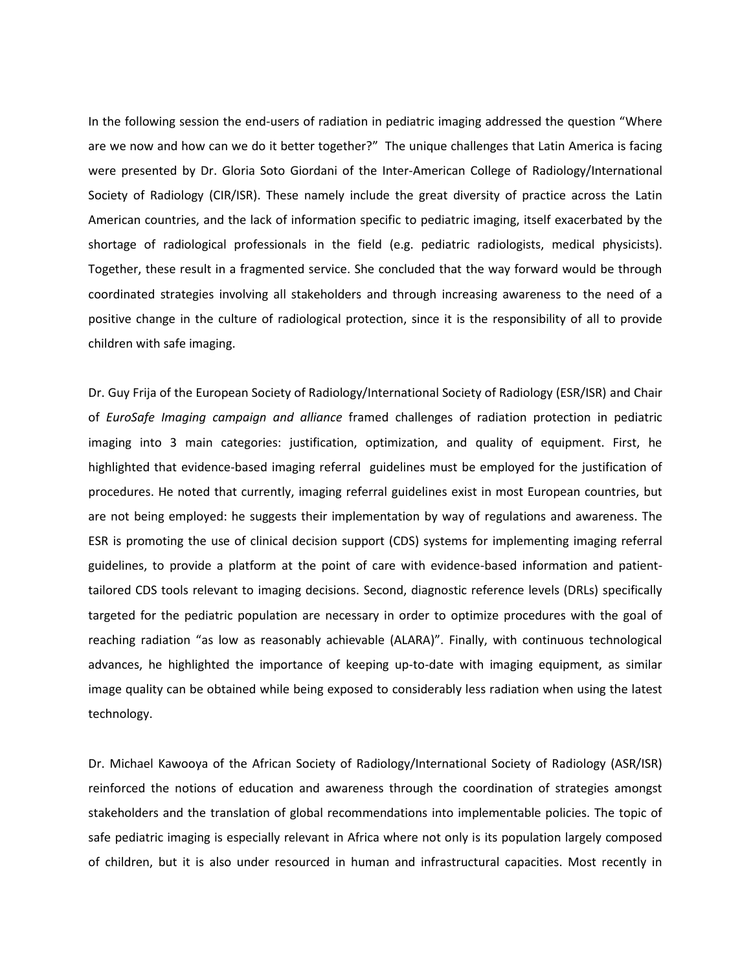In the following session the end-users of radiation in pediatric imaging addressed the question "Where are we now and how can we do it better together?" The unique challenges that Latin America is facing were presented by Dr. Gloria Soto Giordani of the Inter-American College of Radiology/International Society of Radiology (CIR/ISR). These namely include the great diversity of practice across the Latin American countries, and the lack of information specific to pediatric imaging, itself exacerbated by the shortage of radiological professionals in the field (e.g. pediatric radiologists, medical physicists). Together, these result in a fragmented service. She concluded that the way forward would be through coordinated strategies involving all stakeholders and through increasing awareness to the need of a positive change in the culture of radiological protection, since it is the responsibility of all to provide children with safe imaging.

Dr. Guy Frija of the European Society of Radiology/International Society of Radiology (ESR/ISR) and Chair of *EuroSafe Imaging campaign and alliance* framed challenges of radiation protection in pediatric imaging into 3 main categories: justification, optimization, and quality of equipment. First, he highlighted that evidence-based imaging referral guidelines must be employed for the justification of procedures. He noted that currently, imaging referral guidelines exist in most European countries, but are not being employed: he suggests their implementation by way of regulations and awareness. The ESR is promoting the use of clinical decision support (CDS) systems for implementing imaging referral guidelines, to provide a platform at the point of care with evidence-based information and patienttailored CDS tools relevant to imaging decisions. Second, diagnostic reference levels (DRLs) specifically targeted for the pediatric population are necessary in order to optimize procedures with the goal of reaching radiation "as low as reasonably achievable (ALARA)". Finally, with continuous technological advances, he highlighted the importance of keeping up-to-date with imaging equipment, as similar image quality can be obtained while being exposed to considerably less radiation when using the latest technology.

Dr. Michael Kawooya of the African Society of Radiology/International Society of Radiology (ASR/ISR) reinforced the notions of education and awareness through the coordination of strategies amongst stakeholders and the translation of global recommendations into implementable policies. The topic of safe pediatric imaging is especially relevant in Africa where not only is its population largely composed of children, but it is also under resourced in human and infrastructural capacities. Most recently in